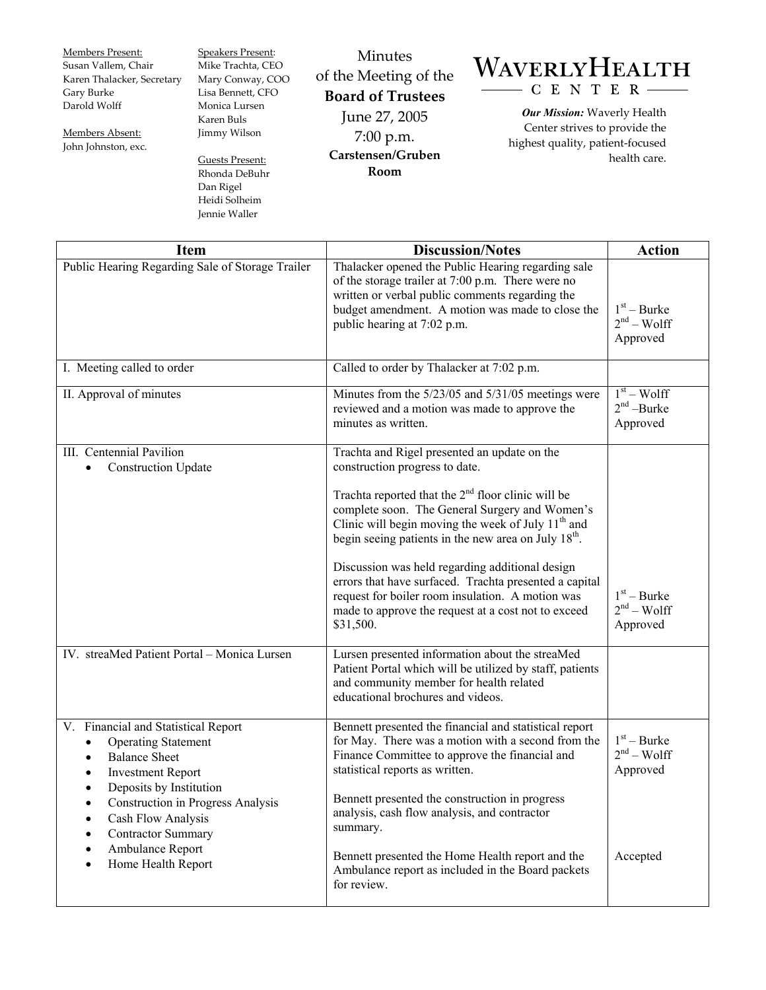Members Present: Susan Vallem, Chair Karen Thalacker, Secretary Gary Burke Darold Wolff

Members Absent: John Johnston, exc. Speakers Present: Mike Trachta, CEO Mary Conway, COO Lisa Bennett, CFO Monica Lursen Karen Buls Jimmy Wilson

Guests Present: Rhonda DeBuhr Dan Rigel Heidi Solheim Jennie Waller

Minutes of the Meeting of the **Board of Trustees**  June 27, 2005 7:00 p.m. **Carstensen/Gruben Room** 

## WAVERLYHEALTH CENTER-

*Our Mission:* Waverly Health Center strives to provide the highest quality, patient-focused health care.

| <b>Item</b>                                                                                                                                                                                                                                                                                                 | <b>Discussion/Notes</b>                                                                                                                                                                                                                                                                                                                                                                                                                                                                                                                         | <b>Action</b>                                         |
|-------------------------------------------------------------------------------------------------------------------------------------------------------------------------------------------------------------------------------------------------------------------------------------------------------------|-------------------------------------------------------------------------------------------------------------------------------------------------------------------------------------------------------------------------------------------------------------------------------------------------------------------------------------------------------------------------------------------------------------------------------------------------------------------------------------------------------------------------------------------------|-------------------------------------------------------|
| Public Hearing Regarding Sale of Storage Trailer                                                                                                                                                                                                                                                            | Thalacker opened the Public Hearing regarding sale<br>of the storage trailer at 7:00 p.m. There were no<br>written or verbal public comments regarding the<br>budget amendment. A motion was made to close the<br>public hearing at 7:02 p.m.                                                                                                                                                                                                                                                                                                   | $1st - Burke$<br>$2nd - Wolf$<br>Approved             |
| I. Meeting called to order                                                                                                                                                                                                                                                                                  | Called to order by Thalacker at 7:02 p.m.                                                                                                                                                                                                                                                                                                                                                                                                                                                                                                       |                                                       |
| II. Approval of minutes                                                                                                                                                                                                                                                                                     | Minutes from the 5/23/05 and 5/31/05 meetings were<br>reviewed and a motion was made to approve the<br>minutes as written.                                                                                                                                                                                                                                                                                                                                                                                                                      | $1st - Wolf$<br>$2nd$ -Burke<br>Approved              |
| III. Centennial Pavilion<br><b>Construction Update</b><br>$\bullet$                                                                                                                                                                                                                                         | Trachta and Rigel presented an update on the<br>construction progress to date.<br>Trachta reported that the $2nd$ floor clinic will be<br>complete soon. The General Surgery and Women's<br>Clinic will begin moving the week of July $11th$ and<br>begin seeing patients in the new area on July $18th$ .<br>Discussion was held regarding additional design<br>errors that have surfaced. Trachta presented a capital<br>request for boiler room insulation. A motion was<br>made to approve the request at a cost not to exceed<br>\$31,500. | $1st - Burke$<br>$2nd - Wolf$<br>Approved             |
| IV. streaMed Patient Portal - Monica Lursen                                                                                                                                                                                                                                                                 | Lursen presented information about the streaMed<br>Patient Portal which will be utilized by staff, patients<br>and community member for health related<br>educational brochures and videos.                                                                                                                                                                                                                                                                                                                                                     |                                                       |
| V. Financial and Statistical Report<br><b>Operating Statement</b><br><b>Balance Sheet</b><br><b>Investment Report</b><br>Deposits by Institution<br><b>Construction in Progress Analysis</b><br>٠<br>Cash Flow Analysis<br><b>Contractor Summary</b><br>Ambulance Report<br>Home Health Report<br>$\bullet$ | Bennett presented the financial and statistical report<br>for May. There was a motion with a second from the<br>Finance Committee to approve the financial and<br>statistical reports as written.<br>Bennett presented the construction in progress<br>analysis, cash flow analysis, and contractor<br>summary.<br>Bennett presented the Home Health report and the<br>Ambulance report as included in the Board packets<br>for review.                                                                                                         | $1st - Burke$<br>$2nd - Wolf$<br>Approved<br>Accepted |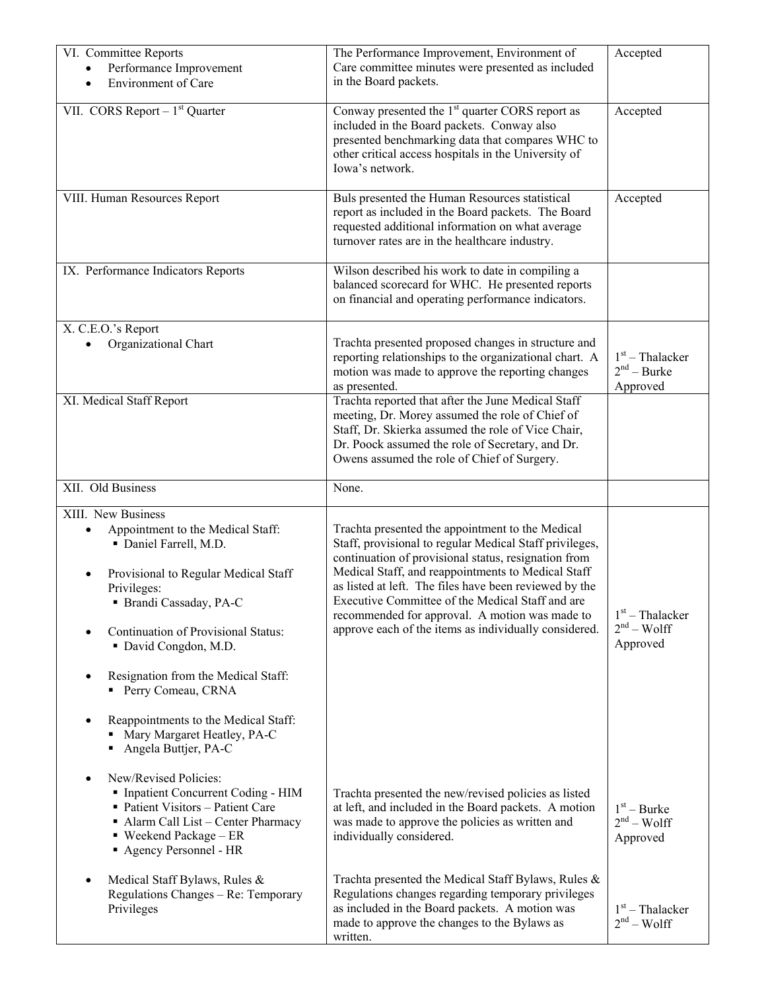| VI. Committee Reports<br>Performance Improvement<br>Environment of Care                                                                                                                                                                                                                                                                                                                         | The Performance Improvement, Environment of<br>Care committee minutes were presented as included<br>in the Board packets.                                                                                                                                                                                                                                                                                                                          | Accepted                                       |
|-------------------------------------------------------------------------------------------------------------------------------------------------------------------------------------------------------------------------------------------------------------------------------------------------------------------------------------------------------------------------------------------------|----------------------------------------------------------------------------------------------------------------------------------------------------------------------------------------------------------------------------------------------------------------------------------------------------------------------------------------------------------------------------------------------------------------------------------------------------|------------------------------------------------|
| VII. CORS Report $-1st$ Quarter                                                                                                                                                                                                                                                                                                                                                                 | Conway presented the 1 <sup>st</sup> quarter CORS report as<br>included in the Board packets. Conway also<br>presented benchmarking data that compares WHC to<br>other critical access hospitals in the University of<br>Iowa's network.                                                                                                                                                                                                           | Accepted                                       |
| VIII. Human Resources Report                                                                                                                                                                                                                                                                                                                                                                    | Buls presented the Human Resources statistical<br>report as included in the Board packets. The Board<br>requested additional information on what average<br>turnover rates are in the healthcare industry.                                                                                                                                                                                                                                         | Accepted                                       |
| IX. Performance Indicators Reports                                                                                                                                                                                                                                                                                                                                                              | Wilson described his work to date in compiling a<br>balanced scorecard for WHC. He presented reports<br>on financial and operating performance indicators.                                                                                                                                                                                                                                                                                         |                                                |
| X. C.E.O.'s Report<br>Organizational Chart                                                                                                                                                                                                                                                                                                                                                      | Trachta presented proposed changes in structure and<br>reporting relationships to the organizational chart. A<br>motion was made to approve the reporting changes<br>as presented.                                                                                                                                                                                                                                                                 | $1st$ – Thalacker<br>$2nd - Burke$<br>Approved |
| XI. Medical Staff Report                                                                                                                                                                                                                                                                                                                                                                        | Trachta reported that after the June Medical Staff<br>meeting, Dr. Morey assumed the role of Chief of<br>Staff, Dr. Skierka assumed the role of Vice Chair,<br>Dr. Poock assumed the role of Secretary, and Dr.<br>Owens assumed the role of Chief of Surgery.                                                                                                                                                                                     |                                                |
| XII. Old Business                                                                                                                                                                                                                                                                                                                                                                               | None.                                                                                                                                                                                                                                                                                                                                                                                                                                              |                                                |
| XIII. New Business<br>Appointment to the Medical Staff:<br>· Daniel Farrell, M.D.<br>Provisional to Regular Medical Staff<br>Privileges:<br>· Brandi Cassaday, PA-C<br>Continuation of Provisional Status:<br>• David Congdon, M.D.<br>Resignation from the Medical Staff:<br>Perry Comeau, CRNA<br>Reappointments to the Medical Staff:<br>Mary Margaret Heatley, PA-C<br>Angela Buttjer, PA-C | Trachta presented the appointment to the Medical<br>Staff, provisional to regular Medical Staff privileges,<br>continuation of provisional status, resignation from<br>Medical Staff, and reappointments to Medical Staff<br>as listed at left. The files have been reviewed by the<br>Executive Committee of the Medical Staff and are<br>recommended for approval. A motion was made to<br>approve each of the items as individually considered. | $1st$ – Thalacker<br>$2nd - Wolf$<br>Approved  |
| New/Revised Policies:<br>Inpatient Concurrent Coding - HIM<br>- Patient Visitors - Patient Care<br>• Alarm Call List - Center Pharmacy<br>■ Weekend Package – ER<br>Agency Personnel - HR                                                                                                                                                                                                       | Trachta presented the new/revised policies as listed<br>at left, and included in the Board packets. A motion<br>was made to approve the policies as written and<br>individually considered.                                                                                                                                                                                                                                                        | $1st - Burke$<br>$2nd - Wolf$<br>Approved      |
| Medical Staff Bylaws, Rules &<br>Regulations Changes - Re: Temporary<br>Privileges                                                                                                                                                                                                                                                                                                              | Trachta presented the Medical Staff Bylaws, Rules &<br>Regulations changes regarding temporary privileges<br>as included in the Board packets. A motion was<br>made to approve the changes to the Bylaws as<br>written.                                                                                                                                                                                                                            | $1st$ – Thalacker<br>$2nd - Wolf$              |